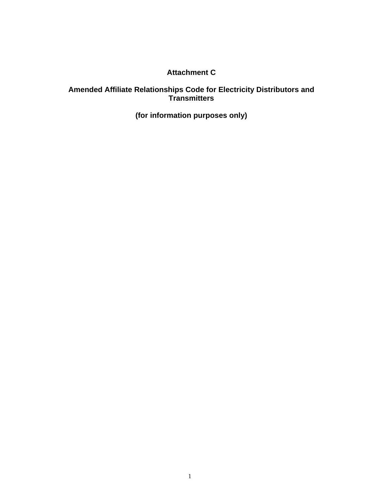# **Attachment C**

#### **Amended Affiliate Relationships Code for Electricity Distributors and Transmitters**

**(for information purposes only)**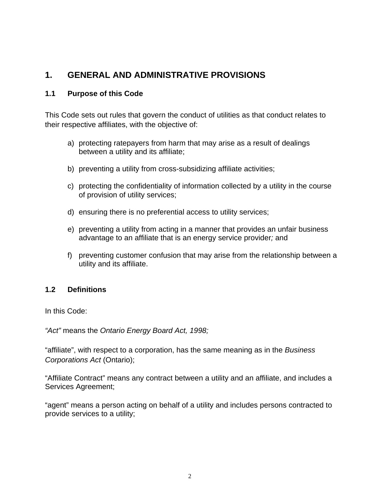# **1. GENERAL AND ADMINISTRATIVE PROVISIONS**

#### **1.1 Purpose of this Code**

This Code sets out rules that govern the conduct of utilities as that conduct relates to their respective affiliates, with the objective of:

- a) protecting ratepayers from harm that may arise as a result of dealings between a utility and its affiliate;
- b) preventing a utility from cross-subsidizing affiliate activities;
- c) protecting the confidentiality of information collected by a utility in the course of provision of utility services;
- d) ensuring there is no preferential access to utility services;
- e) preventing a utility from acting in a manner that provides an unfair business advantage to an affiliate that is an energy service provider*;* and
- f) preventing customer confusion that may arise from the relationship between a utility and its affiliate.

### **1.2 Definitions**

In this Code:

*"Act"* means the *Ontario Energy Board Act, 1998;* 

"affiliate", with respect to a corporation, has the same meaning as in the *Business Corporations Act* (Ontario);

"Affiliate Contract" means any contract between a utility and an affiliate, and includes a Services Agreement;

"agent" means a person acting on behalf of a utility and includes persons contracted to provide services to a utility;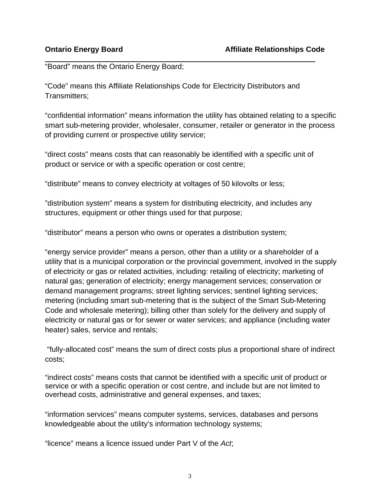"Board" means the Ontario Energy Board;

"Code" means this Affiliate Relationships Code for Electricity Distributors and Transmitters;

"confidential information" means information the utility has obtained relating to a specific smart sub-metering provider, wholesaler, consumer, retailer or generator in the process of providing current or prospective utility service;

"direct costs" means costs that can reasonably be identified with a specific unit of product or service or with a specific operation or cost centre;

"distribute" means to convey electricity at voltages of 50 kilovolts or less;

"distribution system" means a system for distributing electricity, and includes any structures, equipment or other things used for that purpose;

"distributor" means a person who owns or operates a distribution system;

"energy service provider" means a person, other than a utility or a shareholder of a utility that is a municipal corporation or the provincial government, involved in the supply of electricity or gas or related activities, including: retailing of electricity; marketing of natural gas; generation of electricity; energy management services; conservation or demand management programs; street lighting services; sentinel lighting services; metering (including smart sub-metering that is the subject of the Smart Sub-Metering Code and wholesale metering); billing other than solely for the delivery and supply of electricity or natural gas or for sewer or water services; and appliance (including water heater) sales, service and rentals;

 "fully-allocated cost" means the sum of direct costs plus a proportional share of indirect costs;

"indirect costs" means costs that cannot be identified with a specific unit of product or service or with a specific operation or cost centre, and include but are not limited to overhead costs, administrative and general expenses, and taxes;

"information services" means computer systems, services, databases and persons knowledgeable about the utility's information technology systems;

"licence" means a licence issued under Part V of the *Act*;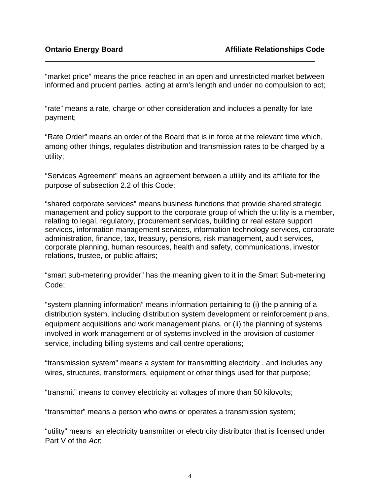"market price" means the price reached in an open and unrestricted market between informed and prudent parties, acting at arm's length and under no compulsion to act;

"rate" means a rate, charge or other consideration and includes a penalty for late payment;

"Rate Order" means an order of the Board that is in force at the relevant time which, among other things, regulates distribution and transmission rates to be charged by a utility;

"Services Agreement" means an agreement between a utility and its affiliate for the purpose of subsection 2.2 of this Code;

"shared corporate services" means business functions that provide shared strategic management and policy support to the corporate group of which the utility is a member, relating to legal, regulatory, procurement services, building or real estate support services, information management services, information technology services, corporate administration, finance, tax, treasury, pensions, risk management, audit services, corporate planning, human resources, health and safety, communications, investor relations, trustee, or public affairs;

"smart sub-metering provider" has the meaning given to it in the Smart Sub-metering Code;

"system planning information" means information pertaining to (i) the planning of a distribution system, including distribution system development or reinforcement plans, equipment acquisitions and work management plans, or (ii) the planning of systems involved in work management or of systems involved in the provision of customer service, including billing systems and call centre operations;

"transmission system" means a system for transmitting electricity , and includes any wires, structures, transformers, equipment or other things used for that purpose;

"transmit" means to convey electricity at voltages of more than 50 kilovolts;

"transmitter" means a person who owns or operates a transmission system;

"utility" means an electricity transmitter or electricity distributor that is licensed under Part V of the *Act*;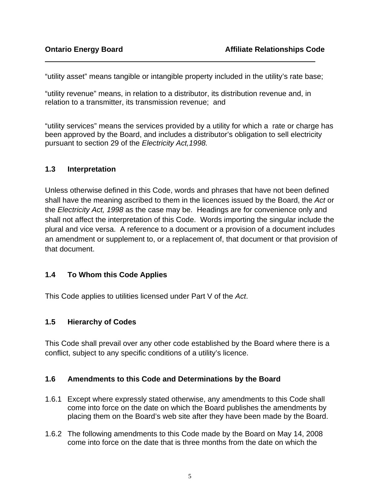"utility asset" means tangible or intangible property included in the utility's rate base;

"utility revenue" means, in relation to a distributor, its distribution revenue and, in relation to a transmitter, its transmission revenue; and

"utility services" means the services provided by a utility for which a rate or charge has been approved by the Board, and includes a distributor's obligation to sell electricity pursuant to section 29 of the *Electricity Act,1998.* 

#### **1.3 Interpretation**

Unless otherwise defined in this Code, words and phrases that have not been defined shall have the meaning ascribed to them in the licences issued by the Board, the *Act* or the *Electricity Act, 1998* as the case may be. Headings are for convenience only and shall not affect the interpretation of this Code. Words importing the singular include the plural and vice versa. A reference to a document or a provision of a document includes an amendment or supplement to, or a replacement of, that document or that provision of that document.

### **1.4 To Whom this Code Applies**

This Code applies to utilities licensed under Part V of the *Act*.

### **1.5 Hierarchy of Codes**

This Code shall prevail over any other code established by the Board where there is a conflict, subject to any specific conditions of a utility's licence.

### **1.6 Amendments to this Code and Determinations by the Board**

- 1.6.1 Except where expressly stated otherwise, any amendments to this Code shall come into force on the date on which the Board publishes the amendments by placing them on the Board's web site after they have been made by the Board.
- 1.6.2 The following amendments to this Code made by the Board on May 14, 2008 come into force on the date that is three months from the date on which the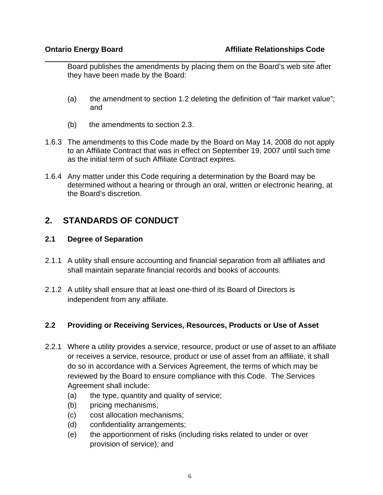Board publishes the amendments by placing them on the Board's web site after they have been made by the Board:

- (a) the amendment to section 1.2 deleting the definition of "fair market value"; and
- (b) the amendments to section 2.3.
- 1.6.3 The amendments to this Code made by the Board on May 14, 2008 do not apply to an Affiliate Contract that was in effect on September 19, 2007 until such time as the initial term of such Affiliate Contract expires.
- 1.6.4 Any matter under this Code requiring a determination by the Board may be determined without a hearing or through an oral, written or electronic hearing, at the Board's discretion.

# **2. STANDARDS OF CONDUCT**

### **2.1 Degree of Separation**

- 2.1.1 A utility shall ensure accounting and financial separation from all affiliates and shall maintain separate financial records and books of accounts.
- 2.1.2 A utility shall ensure that at least one-third of its Board of Directors is independent from any affiliate.

### **2.2 Providing or Receiving Services, Resources, Products or Use of Asset**

- 2.2.1 Where a utility provides a service, resource, product or use of asset to an affiliate or receives a service, resource, product or use of asset from an affiliate, it shall do so in accordance with a Services Agreement, the terms of which may be reviewed by the Board to ensure compliance with this Code. The Services Agreement shall include:
	- (a) the type, quantity and quality of service;
	- (b) pricing mechanisms;
	- (c) cost allocation mechanisms;
	- (d) confidentiality arrangements;
	- (e) the apportionment of risks (including risks related to under or over provision of service); and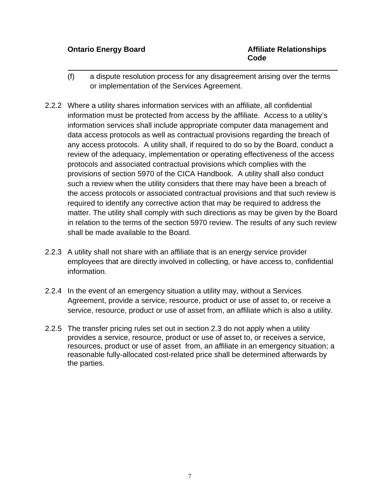l

- (f) a dispute resolution process for any disagreement arising over the terms or implementation of the Services Agreement.
- 2.2.2 Where a utility shares information services with an affiliate, all confidential information must be protected from access by the affiliate. Access to a utility's information services shall include appropriate computer data management and data access protocols as well as contractual provisions regarding the breach of any access protocols. A utility shall, if required to do so by the Board, conduct a review of the adequacy, implementation or operating effectiveness of the access protocols and associated contractual provisions which complies with the provisions of section 5970 of the CICA Handbook. A utility shall also conduct such a review when the utility considers that there may have been a breach of the access protocols or associated contractual provisions and that such review is required to identify any corrective action that may be required to address the matter. The utility shall comply with such directions as may be given by the Board in relation to the terms of the section 5970 review. The results of any such review shall be made available to the Board.
- 2.2.3 A utility shall not share with an affiliate that is an energy service provider employees that are directly involved in collecting, or have access to, confidential information.
- 2.2.4 In the event of an emergency situation a utility may, without a Services Agreement, provide a service, resource, product or use of asset to, or receive a service, resource, product or use of asset from, an affiliate which is also a utility.
- 2.2.5 The transfer pricing rules set out in section 2.3 do not apply when a utility provides a service, resource, product or use of asset to, or receives a service, resources, product or use of asset from, an affiliate in an emergency situation; a reasonable fully-allocated cost-related price shall be determined afterwards by the parties.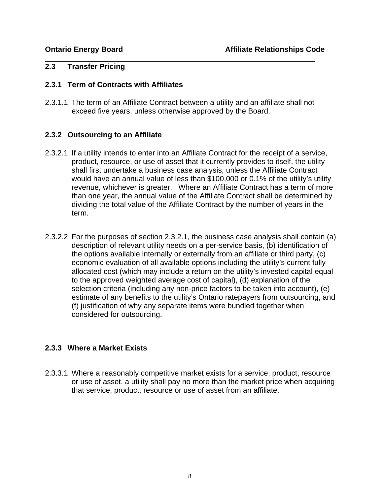#### **2.3 Transfer Pricing**

#### **2.3.1 Term of Contracts with Affiliates**

2.3.1.1 The term of an Affiliate Contract between a utility and an affiliate shall not exceed five years, unless otherwise approved by the Board.

#### **2.3.2 Outsourcing to an Affiliate**

- 2.3.2.1 If a utility intends to enter into an Affiliate Contract for the receipt of a service, product, resource, or use of asset that it currently provides to itself, the utility shall first undertake a business case analysis, unless the Affiliate Contract would have an annual value of less than \$100,000 or 0.1% of the utility's utility revenue, whichever is greater. Where an Affiliate Contract has a term of more than one year, the annual value of the Affiliate Contract shall be determined by dividing the total value of the Affiliate Contract by the number of years in the term.
- 2.3.2.2 For the purposes of section 2.3.2.1, the business case analysis shall contain (a) description of relevant utility needs on a per-service basis, (b) identification of the options available internally or externally from an affiliate or third party, (c) economic evaluation of all available options including the utility's current fullyallocated cost (which may include a return on the utility's invested capital equal to the approved weighted average cost of capital), (d) explanation of the selection criteria (including any non-price factors to be taken into account), (e) estimate of any benefits to the utility's Ontario ratepayers from outsourcing, and (f) justification of why any separate items were bundled together when considered for outsourcing.

### **2.3.3 Where a Market Exists**

2.3.3.1 Where a reasonably competitive market exists for a service, product, resource or use of asset, a utility shall pay no more than the market price when acquiring that service, product, resource or use of asset from an affiliate.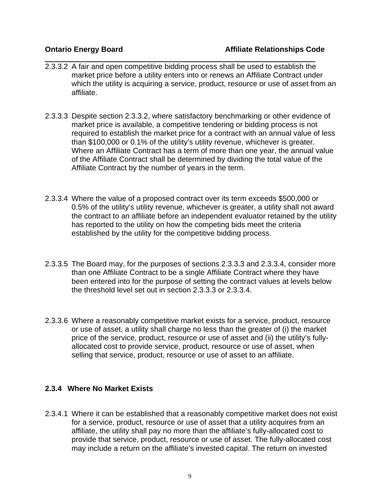- 2.3.3.2 A fair and open competitive bidding process shall be used to establish the market price before a utility enters into or renews an Affiliate Contract under which the utility is acquiring a service, product, resource or use of asset from an affiliate.
- 2.3.3.3 Despite section 2.3.3.2, where satisfactory benchmarking or other evidence of market price is available, a competitive tendering or bidding process is not required to establish the market price for a contract with an annual value of less than \$100,000 or 0.1% of the utility's utility revenue, whichever is greater. Where an Affiliate Contract has a term of more than one year, the annual value of the Affiliate Contract shall be determined by dividing the total value of the Affiliate Contract by the number of years in the term.
- 2.3.3.4 Where the value of a proposed contract over its term exceeds \$500,000 or 0.5% of the utility's utility revenue, whichever is greater, a utility shall not award the contract to an affiliate before an independent evaluator retained by the utility has reported to the utility on how the competing bids meet the criteria established by the utility for the competitive bidding process.
- 2.3.3.5 The Board may, for the purposes of sections 2.3.3.3 and 2.3.3.4, consider more than one Affiliate Contract to be a single Affiliate Contract where they have been entered into for the purpose of setting the contract values at levels below the threshold level set out in section 2.3.3.3 or 2.3.3.4.
- 2.3.3.6 Where a reasonably competitive market exists for a service, product, resource or use of asset, a utility shall charge no less than the greater of (i) the market price of the service, product, resource or use of asset and (ii) the utility's fullyallocated cost to provide service, product, resource or use of asset, when selling that service, product, resource or use of asset to an affiliate.

#### **2.3.4 Where No Market Exists**

2.3.4.1 Where it can be established that a reasonably competitive market does not exist for a service, product, resource or use of asset that a utility acquires from an affiliate, the utility shall pay no more than the affiliate's fully-allocated cost to provide that service, product, resource or use of asset. The fully-allocated cost may include a return on the affiliate's invested capital. The return on invested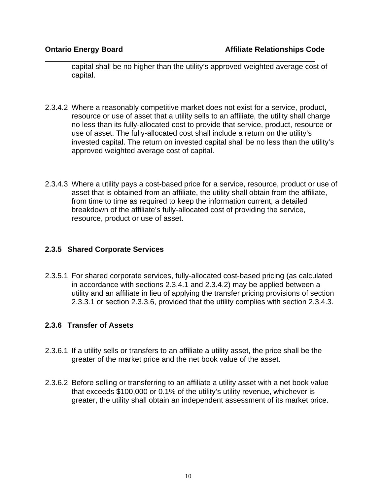capital shall be no higher than the utility's approved weighted average cost of capital.

- 2.3.4.2 Where a reasonably competitive market does not exist for a service, product, resource or use of asset that a utility sells to an affiliate, the utility shall charge no less than its fully-allocated cost to provide that service, product, resource or use of asset. The fully-allocated cost shall include a return on the utility's invested capital. The return on invested capital shall be no less than the utility's approved weighted average cost of capital.
- 2.3.4.3 Where a utility pays a cost-based price for a service, resource, product or use of asset that is obtained from an affiliate, the utility shall obtain from the affiliate, from time to time as required to keep the information current, a detailed breakdown of the affiliate's fully-allocated cost of providing the service, resource, product or use of asset.

### **2.3.5 Shared Corporate Services**

2.3.5.1 For shared corporate services, fully-allocated cost-based pricing (as calculated in accordance with sections 2.3.4.1 and 2.3.4.2) may be applied between a utility and an affiliate in lieu of applying the transfer pricing provisions of section 2.3.3.1 or section 2.3.3.6, provided that the utility complies with section 2.3.4.3.

#### **2.3.6 Transfer of Assets**

- 2.3.6.1 If a utility sells or transfers to an affiliate a utility asset, the price shall be the greater of the market price and the net book value of the asset.
- 2.3.6.2 Before selling or transferring to an affiliate a utility asset with a net book value that exceeds \$100,000 or 0.1% of the utility's utility revenue, whichever is greater, the utility shall obtain an independent assessment of its market price.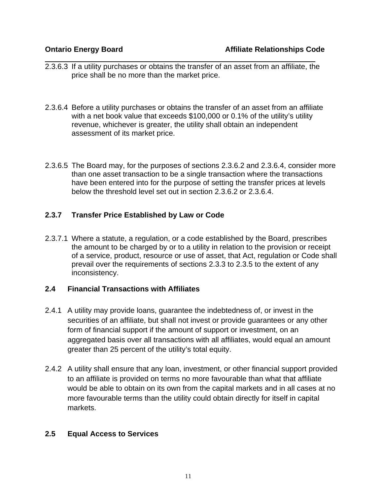- 2.3.6.3 If a utility purchases or obtains the transfer of an asset from an affiliate, the price shall be no more than the market price.
- 2.3.6.4 Before a utility purchases or obtains the transfer of an asset from an affiliate with a net book value that exceeds \$100,000 or 0.1% of the utility's utility revenue, whichever is greater, the utility shall obtain an independent assessment of its market price.
- 2.3.6.5 The Board may, for the purposes of sections 2.3.6.2 and 2.3.6.4, consider more than one asset transaction to be a single transaction where the transactions have been entered into for the purpose of setting the transfer prices at levels below the threshold level set out in section 2.3.6.2 or 2.3.6.4.

### **2.3.7 Transfer Price Established by Law or Code**

2.3.7.1 Where a statute, a regulation, or a code established by the Board, prescribes the amount to be charged by or to a utility in relation to the provision or receipt of a service, product, resource or use of asset, that Act, regulation or Code shall prevail over the requirements of sections 2.3.3 to 2.3.5 to the extent of any inconsistency.

#### **2.4 Financial Transactions with Affiliates**

- 2.4.1 A utility may provide loans, guarantee the indebtedness of, or invest in the securities of an affiliate, but shall not invest or provide guarantees or any other form of financial support if the amount of support or investment, on an aggregated basis over all transactions with all affiliates, would equal an amount greater than 25 percent of the utility's total equity.
- 2.4.2 A utility shall ensure that any loan, investment, or other financial support provided to an affiliate is provided on terms no more favourable than what that affiliate would be able to obtain on its own from the capital markets and in all cases at no more favourable terms than the utility could obtain directly for itself in capital markets.

#### **2.5 Equal Access to Services**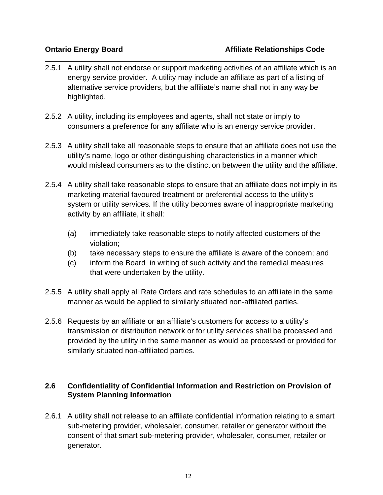- 2.5.1 A utility shall not endorse or support marketing activities of an affiliate which is an energy service provider. A utility may include an affiliate as part of a listing of alternative service providers, but the affiliate's name shall not in any way be highlighted.
- 2.5.2 A utility, including its employees and agents, shall not state or imply to consumers a preference for any affiliate who is an energy service provider.
- 2.5.3 A utility shall take all reasonable steps to ensure that an affiliate does not use the utility's name, logo or other distinguishing characteristics in a manner which would mislead consumers as to the distinction between the utility and the affiliate.
- 2.5.4 A utility shall take reasonable steps to ensure that an affiliate does not imply in its marketing material favoured treatment or preferential access to the utility's system or utility services*.* If the utility becomes aware of inappropriate marketing activity by an affiliate, it shall:
	- (a) immediately take reasonable steps to notify affected customers of the violation;
	- (b) take necessary steps to ensure the affiliate is aware of the concern; and
	- (c) inform the Board in writing of such activity and the remedial measures that were undertaken by the utility.
- 2.5.5 A utility shall apply all Rate Orders and rate schedules to an affiliate in the same manner as would be applied to similarly situated non-affiliated parties.
- 2.5.6 Requests by an affiliate or an affiliate's customers for access to a utility's transmission or distribution network or for utility services shall be processed and provided by the utility in the same manner as would be processed or provided for similarly situated non-affiliated parties.

## **2.6 Confidentiality of Confidential Information and Restriction on Provision of System Planning Information**

2.6.1 A utility shall not release to an affiliate confidential information relating to a smart sub-metering provider, wholesaler, consumer, retailer or generator without the consent of that smart sub-metering provider, wholesaler, consumer, retailer or generator.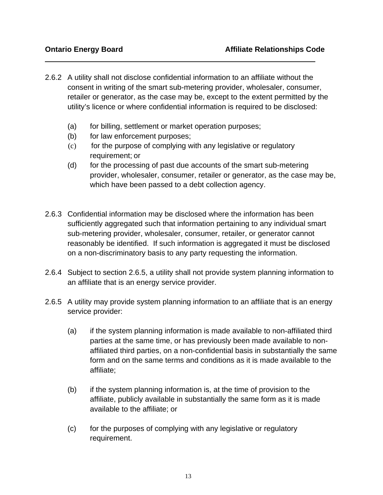- 2.6.2 A utility shall not disclose confidential information to an affiliate without the consent in writing of the smart sub-metering provider, wholesaler, consumer, retailer or generator, as the case may be, except to the extent permitted by the utility's licence or where confidential information is required to be disclosed:
	- (a) for billing, settlement or market operation purposes;
	- (b) for law enforcement purposes;
	- (c) for the purpose of complying with any legislative or regulatory requirement; or
	- (d) for the processing of past due accounts of the smart sub-metering provider, wholesaler, consumer, retailer or generator, as the case may be, which have been passed to a debt collection agency.
- 2.6.3 Confidential information may be disclosed where the information has been sufficiently aggregated such that information pertaining to any individual smart sub-metering provider, wholesaler, consumer, retailer, or generator cannot reasonably be identified. If such information is aggregated it must be disclosed on a non-discriminatory basis to any party requesting the information.
- 2.6.4 Subject to section 2.6.5, a utility shall not provide system planning information to an affiliate that is an energy service provider.
- 2.6.5 A utility may provide system planning information to an affiliate that is an energy service provider:
	- (a) if the system planning information is made available to non-affiliated third parties at the same time, or has previously been made available to nonaffiliated third parties, on a non-confidential basis in substantially the same form and on the same terms and conditions as it is made available to the affiliate;
	- (b) if the system planning information is, at the time of provision to the affiliate, publicly available in substantially the same form as it is made available to the affiliate; or
	- (c) for the purposes of complying with any legislative or regulatory requirement.